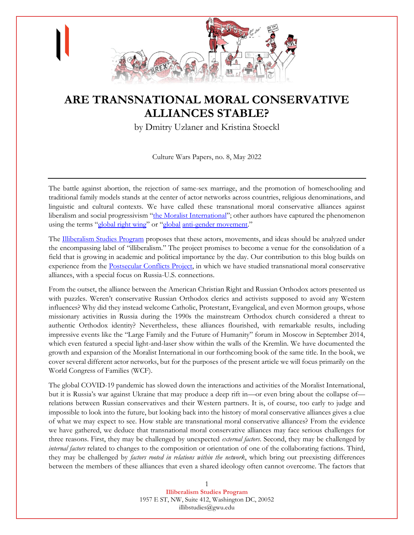

# **ARE TRANSNATIONAL MORAL CONSERVATIVE ALLIANCES STABLE?**

by Dmitry Uzlaner and Kristina Stoeckl

Culture Wars Papers, no. 8, May 2022

The battle against abortion, the rejection of same-sex marriage, and the promotion of homeschooling and traditional family models stands at the center of actor networks across countries, religious denominations, and linguistic and cultural contexts. We have called these transnational moral conservative alliances against liberalism and social progressivism "[the Moralist International](https://www.fordhampress.com/9781531502133/the-moralist-international/)"; other authors have captured the phenomenon using the terms "[global right wing](https://www.cambridge.org/core/books/global-right-wing-and-the-clash-of-world-politics/2683ACDB5B99EE461FC008F0E6F4F99C)" or "[global](https://www.amazon.com/Anti-Gender-Campaigns-Europe-Roman-Kuhar/dp/1786600005) [anti-gender movement.](https://www.transcript-verlag.de/978-3-8376-5315-1/anti-genderismus-in-europa/)"

The [Illiberalism Studies Program](https://www.illiberalism.org/) proposes that these actors, movements, and ideas should be analyzed under the encompassing label of "illiberalism." The project promises to become a venue for the consolidation of a field that is growing in academic and political importance by the day. Our contribution to this blog builds on experience from the **Postsecular Conflicts Project**, in which we have studied transnational moral conservative alliances, with a special focus on Russia-U.S. connections.

From the outset, the alliance between the American Christian Right and Russian Orthodox actors presented us with puzzles. Weren't conservative Russian Orthodox clerics and activists supposed to avoid any Western influences? Why did they instead welcome Catholic, Protestant, Evangelical, and even Mormon groups, whose missionary activities in Russia during the 1990s the mainstream Orthodox church considered a threat to authentic Orthodox identity? Nevertheless, these alliances flourished, with remarkable results, including impressive events like the "Large Family and the Future of Humanity" forum in Moscow in September 2014, which even featured a special light-and-laser show within the walls of the Kremlin. We have documented the growth and expansion of the Moralist International in our forthcoming book of the same title. In the book, we cover several different actor networks, but for the purposes of the present article we will focus primarily on the World Congress of Families (WCF).

The global COVID-19 pandemic has slowed down the interactions and activities of the Moralist International, but it is Russia's war against Ukraine that may produce a deep rift in—or even bring about the collapse of relations between Russian conservatives and their Western partners. It is, of course, too early to judge and impossible to look into the future, but looking back into the history of moral conservative alliances gives a clue of what we may expect to see. How stable are transnational moral conservative alliances? From the evidence we have gathered, we deduce that transnational moral conservative alliances may face serious challenges for three reasons. First, they may be challenged by unexpected *external factors*. Second, they may be challenged by *internal factors* related to changes to the composition or orientation of one of the collaborating factions. Third, they may be challenged by *factors rooted in relations within the network*, which bring out preexisting differences between the members of these alliances that even a shared ideology often cannot overcome. The factors that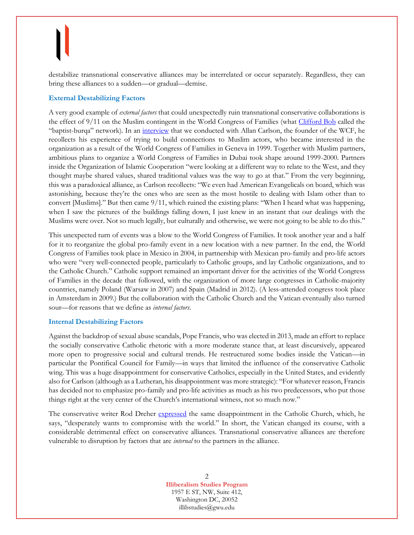destabilize transnational conservative alliances may be interrelated or occur separately. Regardless, they can bring these alliances to a sudden—or gradual—demise.

### **External Destabilizing Factors**

A very good example of *external factors* that could unexpectedly ruin transnational conservative collaborations is the effect of 9/11 on the Muslim contingent in the World Congress of Families (what [Clifford Bob](https://www.cambridge.org/core/books/global-right-wing-and-the-clash-of-world-politics/2683ACDB5B99EE461FC008F0E6F4F99C) called the "baptist-burqa" network). In an [interview](https://www.uibk.ac.at/iup/buch_pdfs/postsecular-conflicts/10.152033187-99-3-04.pdf) that we conducted with Allan Carlson, the founder of the WCF, he recollects his experience of trying to build connections to Muslim actors, who became interested in the organization as a result of the World Congress of Families in Geneva in 1999. Together with Muslim partners, ambitious plans to organize a World Congress of Families in Dubai took shape around 1999-2000. Partners inside the Organization of Islamic Cooperation "were looking at a different way to relate to the West, and they thought maybe shared values, shared traditional values was the way to go at that." From the very beginning, this was a paradoxical alliance, as Carlson recollects: "We even had American Evangelicals on board, which was astonishing, because they're the ones who are seen as the most hostile to dealing with Islam other than to convert [Muslims]." But then came 9/11, which ruined the existing plans: "When I heard what was happening, when I saw the pictures of the buildings falling down, I just knew in an instant that our dealings with the Muslims were over. Not so much legally, but culturally and otherwise, we were not going to be able to do this."

This unexpected turn of events was a blow to the World Congress of Families. It took another year and a half for it to reorganize the global pro-family event in a new location with a new partner. In the end, the World Congress of Families took place in Mexico in 2004, in partnership with Mexican pro-family and pro-life actors who were "very well-connected people, particularly to Catholic groups, and lay Catholic organizations, and to the Catholic Church." Catholic support remained an important driver for the activities of the World Congress of Families in the decade that followed, with the organization of more large congresses in Catholic-majority countries, namely Poland (Warsaw in 2007) and Spain (Madrid in 2012). (A less-attended congress took place in Amsterdam in 2009.) But the collaboration with the Catholic Church and the Vatican eventually also turned sour—for reasons that we define as *internal factors*.

### **Internal Destabilizing Factors**

Against the backdrop of sexual abuse scandals, Pope Francis, who was elected in 2013, made an effort to replace the socially conservative Catholic rhetoric with a more moderate stance that, at least discursively, appeared more open to progressive social and cultural trends. He restructured some bodies inside the Vatican—in particular the Pontifical Council for Family—in ways that limited the influence of the conservative Catholic wing. This was a huge disappointment for conservative Catholics, especially in the United States, and evidently also for Carlson (although as a Lutheran, his disappointment was more strategic): "For whatever reason, Francis has decided not to emphasize pro-family and pro-life activities as much as his two predecessors, who put those things right at the very center of the Church's international witness, not so much now."

The conservative writer Rod Dreher [expressed](https://www.uibk.ac.at/iup/buch_pdfs/postsecular-conflicts/10.152033187-99-3-03.pdf) the same disappointment in the Catholic Church, which, he says, "desperately wants to compromise with the world." In short, the Vatican changed its course, with a considerable detrimental effect on conservative alliances. Transnational conservative alliances are therefore vulnerable to disruption by factors that are *internal* to the partners in the alliance.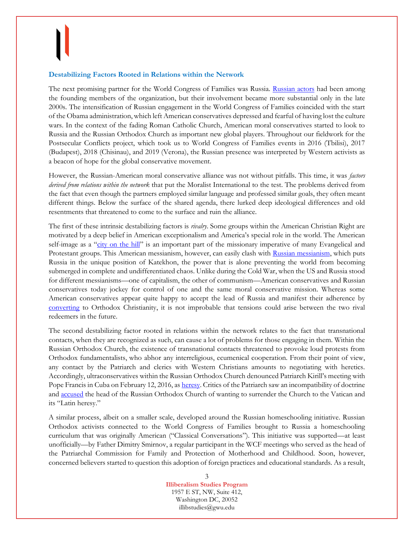#### **Destabilizing Factors Rooted in Relations within the Network**

The next promising partner for the World Congress of Families was Russia. [Russian actors](https://www.tandfonline.com/doi/full/10.1080/09637494.2020.1796172) had been among the founding members of the organization, but their involvement became more substantial only in the late 2000s. The intensification of Russian engagement in the World Congress of Families coincided with the start of the Obama administration, which left American conservatives depressed and fearful of having lost the culture wars. In the context of the fading Roman Catholic Church, American moral conservatives started to look to Russia and the Russian Orthodox Church as important new global players. Throughout our fieldwork for the Postsecular Conflicts project, which took us to World Congress of Families events in 2016 (Tbilisi), 2017 (Budapest), 2018 (Chisinau), and 2019 (Verona), the Russian presence was interpreted by Western activists as a beacon of hope for the global conservative movement.

However, the Russian-American moral conservative alliance was not without pitfalls. This time, it was *factors derived from relations within the network* that put the Moralist International to the test. The problems derived from the fact that even though the partners employed similar language and professed similar goals, they often meant different things. Below the surface of the shared agenda, there lurked deep ideological differences and old resentments that threatened to come to the surface and ruin the alliance.

The first of these intrinsic destabilizing factors is *rivalry*. Some groups within the American Christian Right are motivated by a deep belief in American exceptionalism and America's special role in the world. The American self-image as a "[city on the hill](https://yalebooks.yale.edu/book/9780300229752/city-on-a-hill/)" is an important part of the missionary imperative of many Evangelical and Protestant groups. This American messianism, however, can easily clash with [Russian messianism,](https://www.tandfonline.com/doi/full/10.1080/10758216.2018.1530940?casa_token=p7QynGMtsYMAAAAA%3ADs1hsJ7pyM0RodiMN9ONnBDYBc_r2TGcl7S1x_ObAYckvFCSBWVNjQtRdsz3w-McAhc6eHFCLia6) which puts Russia in the unique position of Katekhon, the power that is alone preventing the world from becoming submerged in complete and undifferentiated chaos. Unlike during the Cold War, when the US and Russia stood for different messianisms—one of capitalism, the other of communism—American conservatives and Russian conservatives today jockey for control of one and the same moral conservative mission. Whereas some American conservatives appear quite happy to accept the lead of Russia and manifest their adherence by [converting](https://muse.jhu.edu/book/99943) to Orthodox Christianity, it is not improbable that tensions could arise between the two rival redeemers in the future.

The second destabilizing factor rooted in relations within the network relates to the fact that transnational contacts, when they are recognized as such, can cause a lot of problems for those engaging in them. Within the Russian Orthodox Church, the existence of transnational contacts threatened to provoke loud protests from Orthodox fundamentalists, who abhor any interreligious, ecumenical cooperation. From their point of view, any contact by the Patriarch and clerics with Western Christians amounts to negotiating with heretics. Accordingly, ultraconservatives within the Russian Orthodox Church denounced Patriarch Kirill's meeting with Pope Francis in Cuba on February 12, 2016, a[s heresy.](http://srch.ranepa.ru/node/551) Critics of the Patriarch saw an incompatibility of doctrine and [accused](https://life.ru/p/1044350) the head of the Russian Orthodox Church of wanting to surrender the Church to the Vatican and its "Latin heresy."

A similar process, albeit on a smaller scale, developed around the Russian homeschooling initiative. Russian Orthodox activists connected to the World Congress of Families brought to Russia a homeschooling curriculum that was originally American ("Classical Conversations"). This initiative was supported—at least unofficially—by Father Dimitry Smirnov, a regular participant in the WCF meetings who served as the head of the Patriarchal Commission for Family and Protection of Motherhood and Childhood. Soon, however, concerned believers started to question this adoption of foreign practices and educational standards. As a result,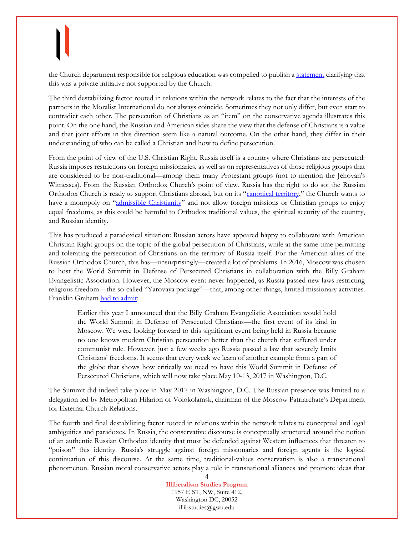the Church department responsible for religious education was compelled to publish a [statement](http://www.patriarchia.ru/db/text/5541005.html) clarifying that this was a private initiative not supported by the Church.

The third destabilizing factor rooted in relations within the network relates to the fact that the interests of the partners in the Moralist International do not always coincide. Sometimes they not only differ, but even start to contradict each other. The persecution of Christians as an "item" on the conservative agenda illustrates this point. On the one hand, the Russian and American sides share the view that the defense of Christians is a value and that joint efforts in this direction seem like a natural outcome. On the other hand, they differ in their understanding of who can be called a Christian and how to define persecution.

From the point of view of the U.S. Christian Right, Russia itself is a country where Christians are persecuted: Russia imposes restrictions on foreign missionaries, as well as on representatives of those religious groups that are considered to be non-traditional—among them many Protestant groups (not to mention the Jehovah's Witnesses). From the Russian Orthodox Church's point of view, Russia has the right to do so: the Russian Orthodox Church is ready to support Christians abroad, but on its "[canonical territory,](https://www.routledge.com/Believing-in-Russia---Religious-Policy-after-Communism/Fagan/p/book/9781138803268)" the Church wants to have a monopoly on "[admissible Christianity](https://www.tandfonline.com/doi/full/10.1080/1060586X.2016.1251023)" and not allow foreign missions or Christian groups to enjoy equal freedoms, as this could be harmful to Orthodox traditional values, the spiritual security of the country, and Russian identity.

This has produced a paradoxical situation: Russian actors have appeared happy to collaborate with American Christian Right groups on the topic of the global persecution of Christians, while at the same time permitting and tolerating the persecution of Christians on the territory of Russia itself. For the American allies of the Russian Orthodox Church, this has—unsurprisingly—created a lot of problems. In 2016, Moscow was chosen to host the World Summit in Defense of Persecuted Christians in collaboration with the Billy Graham Evangelistic Association. However, the Moscow event never happened, as Russia passed new laws restricting religious freedom—the so-called "Yarovaya package"—that, among other things, limited missionary activities. Franklin Graham [had to admit:](https://www.facebook.com/FranklinGraham/posts/1212590925463753:0)

Earlier this year I announced that the Billy Graham Evangelistic Association would hold the World Summit in Defense of Persecuted Christians—the first event of its kind in Moscow. We were looking forward to this significant event being held in Russia because no one knows modern Christian persecution better than the church that suffered under communist rule. However, just a few weeks ago Russia passed a law that severely limits Christians' freedoms. It seems that every week we learn of another example from a part of the globe that shows how critically we need to have this World Summit in Defense of Persecuted Christians, which will now take place May 10-13, 2017 in Washington, D.C.

The Summit did indeed take place in May 2017 in Washington, D.C. The Russian presence was limited to a delegation led by Metropolitan Hilarion of Volokolamsk, chairman of the Moscow Patriarchate's Department for External Church Relations.

The fourth and final destabilizing factor rooted in relations within the network relates to conceptual and legal ambiguities and paradoxes. In Russia, the conservative discourse is conceptually structured around the notion of an authentic Russian Orthodox identity that must be defended against Western influences that threaten to "poison" this identity. Russia's struggle against foreign missionaries and foreign agents is the logical continuation of this discourse. At the same time, traditional-values conservatism is also a transnational phenomenon. Russian moral conservative actors play a role in transnational alliances and promote ideas that